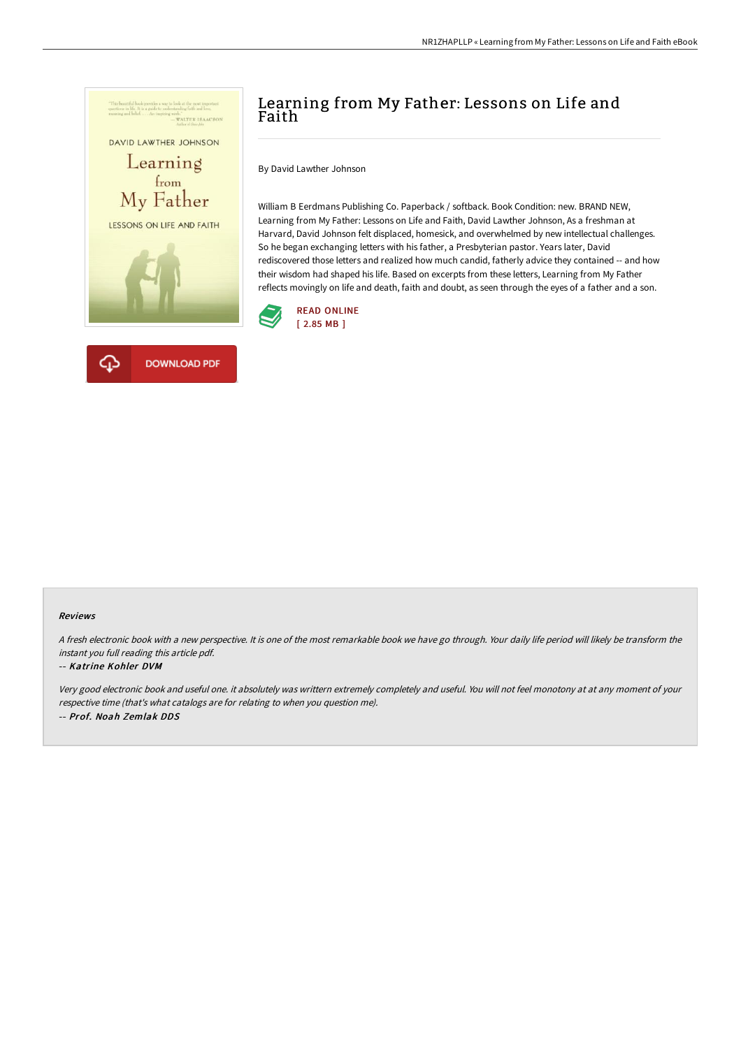

# Learning from My Father: Lessons on Life and Faith

By David Lawther Johnson

William B Eerdmans Publishing Co. Paperback / softback. Book Condition: new. BRAND NEW, Learning from My Father: Lessons on Life and Faith, David Lawther Johnson, As a freshman at Harvard, David Johnson felt displaced, homesick, and overwhelmed by new intellectual challenges. So he began exchanging letters with his father, a Presbyterian pastor. Years later, David rediscovered those letters and realized how much candid, fatherly advice they contained -- and how their wisdom had shaped his life. Based on excerpts from these letters, Learning from My Father reflects movingly on life and death, faith and doubt, as seen through the eyes of a father and a son.



#### Reviews

<sup>A</sup> fresh electronic book with <sup>a</sup> new perspective. It is one of the most remarkable book we have go through. Your daily life period will likely be transform the instant you full reading this article pdf.

#### -- Katrine Kohler DVM

Very good electronic book and useful one. it absolutely was writtern extremely completely and useful. You will not feel monotony at at any moment of your respective time (that's what catalogs are for relating to when you question me). -- Prof. Noah Zemlak DDS